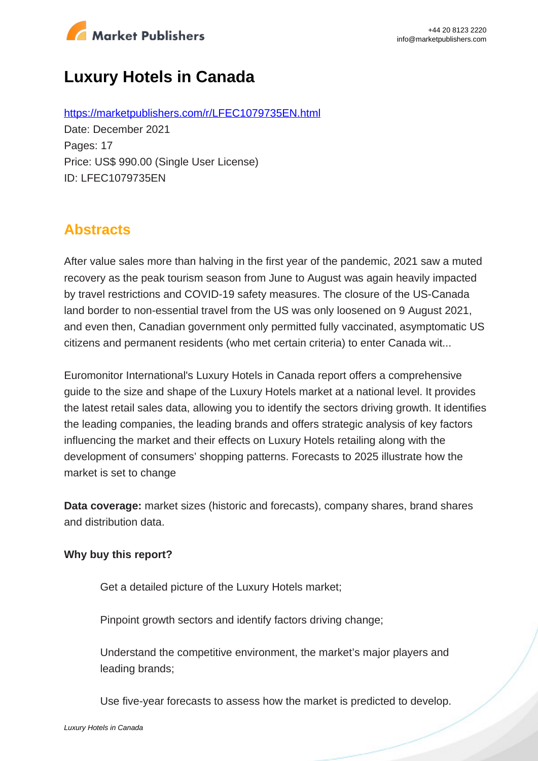

# **Luxury Hotels in Canada**

https://marketpublishers.com/r/LFEC1079735EN.html Date: December 2021 Pages: 17 Price: US\$ 990.00 (Single User License) ID: LFEC1079735EN

## **Abstracts**

After value sales more than halving in the first year of the pandemic, 2021 saw a muted recovery as the peak tourism season from June to August was again heavily impacted by travel restrictions and COVID-19 safety measures. The closure of the US-Canada land border to non-essential travel from the US was only loosened on 9 August 2021, and even then, Canadian government only permitted fully vaccinated, asymptomatic US citizens and permanent residents (who met certain criteria) to enter Canada wit...

Euromonitor International's Luxury Hotels in Canada report offers a comprehensive guide to the size and shape of the Luxury Hotels market at a national level. It provides the latest retail sales data, allowing you to identify the sectors driving growth. It identifies the leading companies, the leading brands and offers strategic analysis of key factors influencing the market and their effects on Luxury Hotels retailing along with the development of consumers' shopping patterns. Forecasts to 2025 illustrate how the market is set to change

**Data coverage:** market sizes (historic and forecasts), company shares, brand shares and distribution data.

#### **Why buy this report?**

Get a detailed picture of the Luxury Hotels market;

Pinpoint growth sectors and identify factors driving change;

Understand the competitive environment, the market's major players and leading brands;

Use five-year forecasts to assess how the market is predicted to develop.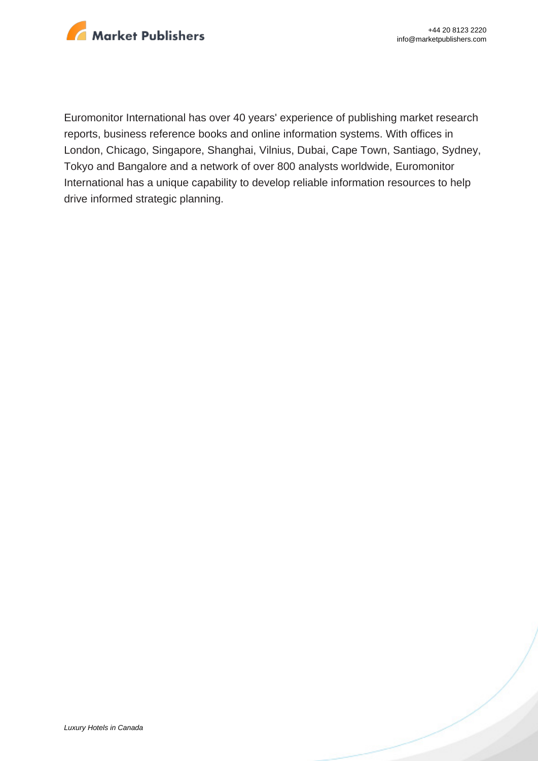

Euromonitor International has over 40 years' experience of publishing market research reports, business reference books and online information systems. With offices in London, Chicago, Singapore, Shanghai, Vilnius, Dubai, Cape Town, Santiago, Sydney, Tokyo and Bangalore and a network of over 800 analysts worldwide, Euromonitor International has a unique capability to develop reliable information resources to help drive informed strategic planning.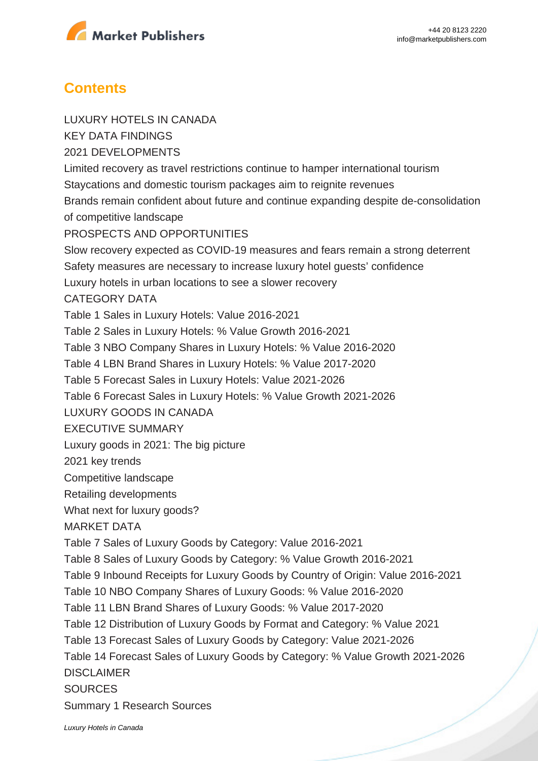

### **Contents**

LUXURY HOTELS IN CANADA KEY DATA FINDINGS 2021 DEVELOPMENTS Limited recovery as travel restrictions continue to hamper international tourism Staycations and domestic tourism packages aim to reignite revenues Brands remain confident about future and continue expanding despite de-consolidation of competitive landscape PROSPECTS AND OPPORTUNITIES Slow recovery expected as COVID-19 measures and fears remain a strong deterrent Safety measures are necessary to increase luxury hotel guests' confidence Luxury hotels in urban locations to see a slower recovery CATEGORY DATA Table 1 Sales in Luxury Hotels: Value 2016-2021 Table 2 Sales in Luxury Hotels: % Value Growth 2016-2021 Table 3 NBO Company Shares in Luxury Hotels: % Value 2016-2020 Table 4 LBN Brand Shares in Luxury Hotels: % Value 2017-2020 Table 5 Forecast Sales in Luxury Hotels: Value 2021-2026 Table 6 Forecast Sales in Luxury Hotels: % Value Growth 2021-2026 LUXURY GOODS IN CANADA EXECUTIVE SUMMARY Luxury goods in 2021: The big picture 2021 key trends Competitive landscape Retailing developments What next for luxury goods? MARKET DATA Table 7 Sales of Luxury Goods by Category: Value 2016-2021 Table 8 Sales of Luxury Goods by Category: % Value Growth 2016-2021 Table 9 Inbound Receipts for Luxury Goods by Country of Origin: Value 2016-2021 Table 10 NBO Company Shares of Luxury Goods: % Value 2016-2020 Table 11 LBN Brand Shares of Luxury Goods: % Value 2017-2020 Table 12 Distribution of Luxury Goods by Format and Category: % Value 2021 Table 13 Forecast Sales of Luxury Goods by Category: Value 2021-2026 Table 14 Forecast Sales of Luxury Goods by Category: % Value Growth 2021-2026 DISCLAIMER **SOURCES** 

Summary 1 Research Sources